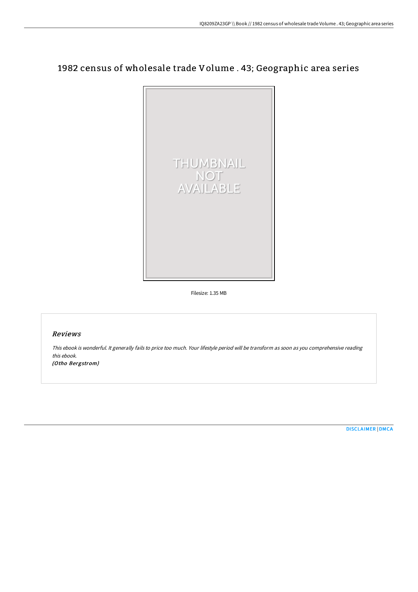## 1982 census of wholesale trade Volume . 43; Geographic area series



Filesize: 1.35 MB

## Reviews

This ebook is wonderful. It generally fails to price too much. Your lifestyle period will be transform as soon as you comprehensive reading this ebook.

(Otho Bergstrom)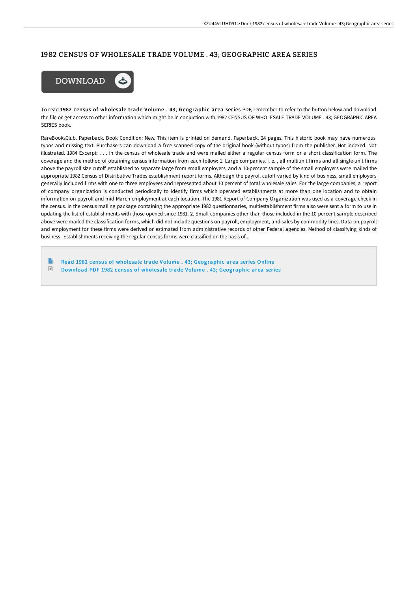## 1982 CENSUS OF WHOLESALE TRADE VOLUME . 43; GEOGRAPHIC AREA SERIES



To read 1982 census of wholesale trade Volume . 43; Geographic area series PDF, remember to refer to the button below and download the file or get access to other information which might be in conjuction with 1982 CENSUS OF WHOLESALE TRADE VOLUME . 43; GEOGRAPHIC AREA SERIES book.

RareBooksClub. Paperback. Book Condition: New. This item is printed on demand. Paperback. 24 pages. This historic book may have numerous typos and missing text. Purchasers can download a free scanned copy of the original book (without typos) from the publisher. Not indexed. Not illustrated. 1984 Excerpt: . . . in the census of wholesale trade and were mailed either a regular census form or a short classification form. The coverage and the method of obtaining census information from each follow: 1. Large companies, i. e. , all multiunit firms and all single-unit firms above the payroll size cutoff established to separate large from small employers, and a 10-percent sample of the small employers were mailed the appropriate 1982 Census of Distributive Trades establishment report forms. Although the payroll cutoff varied by kind of business, small employers generally included firms with one to three employees and represented about 10 percent of total wholesale sales. For the large companies, a report of company organization is conducted periodically to identify firms which operated establishments at more than one location and to obtain information on payroll and mid-March employment at each location. The 1981 Report of Company Organization was used as a coverage check in the census. In the census mailing package containing the appropriate 1982 questionnaries, multiestablishment firms also were sent a form to use in updating the list of establishments with those opened since 1981. 2. Small companies other than those included in the 10-percent sample described above were mailed the classification forms, which did not include questions on payroll, employment, and sales by commodity lines. Data on payroll and employment for these firms were derived or estimated from administrative records of other Federal agencies. Method of classifying kinds of business--Establishments receiving the regular census forms were classified on the basis of...

**P** Read 1982 census of wholesale trade Volume . 43; [Geographic](http://albedo.media/1982-census-of-wholesale-trade-volume-43-geograp.html) area series Online  $\ensuremath{\mathop\square}\xspace$ Download PDF 1982 census of wholesale trade Volume . 43; [Geographic](http://albedo.media/1982-census-of-wholesale-trade-volume-43-geograp.html) area series